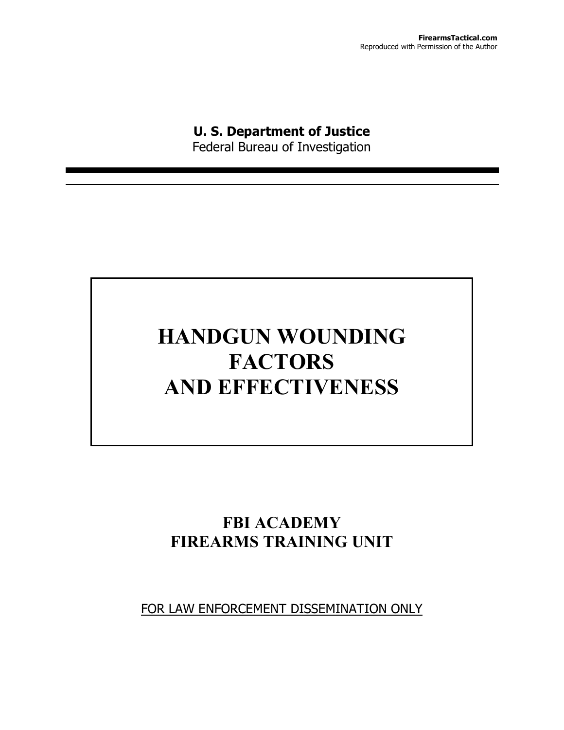## **U. S. Department of Justice**

Federal Bureau of Investigation

# **HANDGUN WOUNDING FACTORS AND EFFECTIVENESS**

### **FBI ACADEMY FIREARMS TRAINING UNIT**

FOR LAW ENFORCEMENT DISSEMINATION ONLY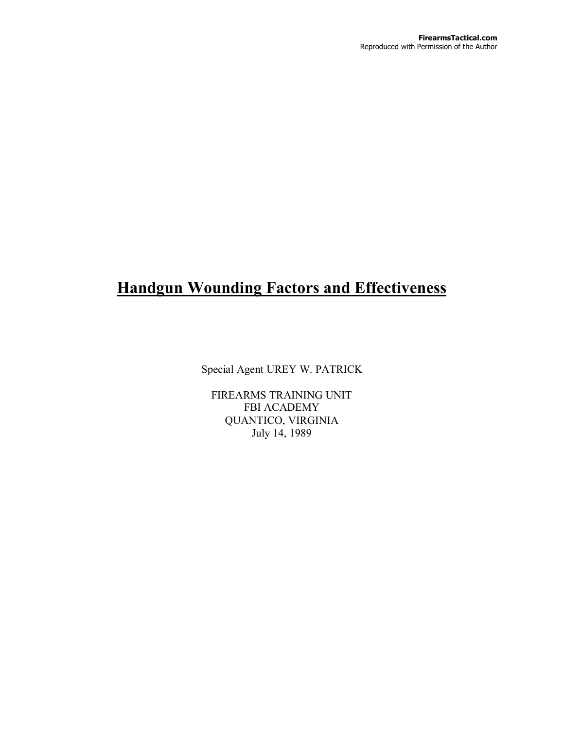### **Handgun Wounding Factors and Effectiveness**

Special Agent UREY W. PATRICK

FIREARMS TRAINING UNIT FBI ACADEMY QUANTICO, VIRGINIA July 14, 1989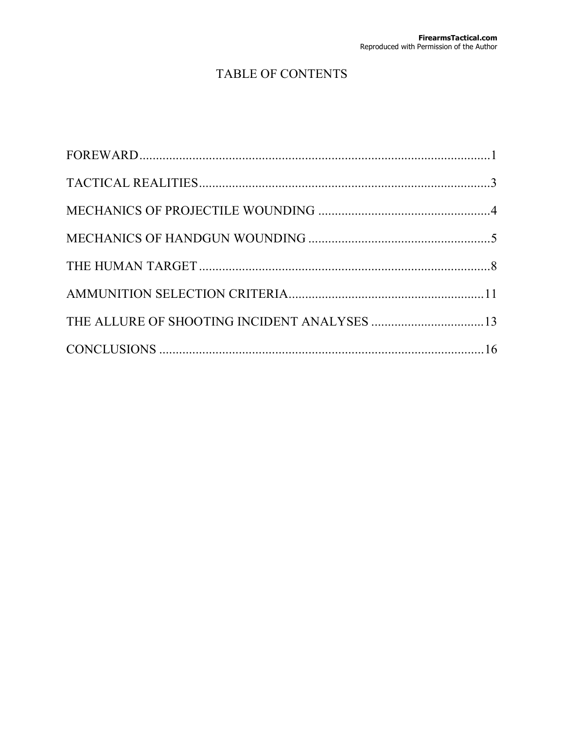### TABLE OF CONTENTS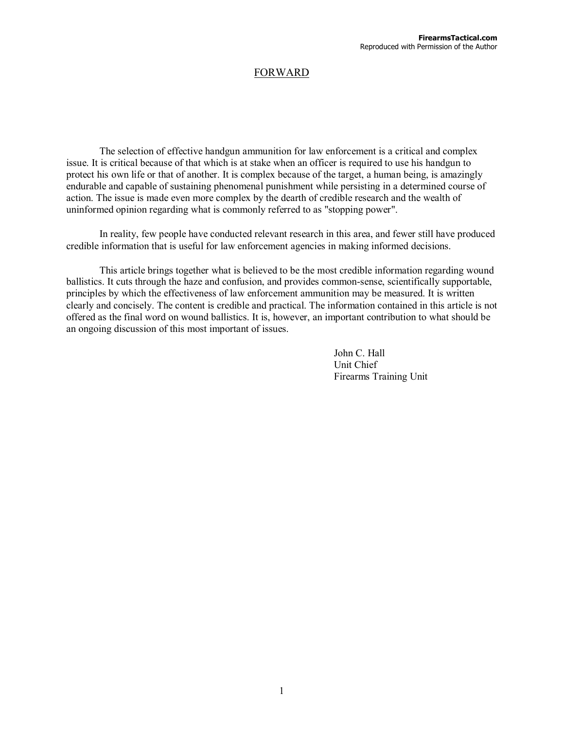### FORWARD

The selection of effective handgun ammunition for law enforcement is a critical and complex issue. It is critical because of that which is at stake when an officer is required to use his handgun to protect his own life or that of another. It is complex because of the target, a human being, is amazingly endurable and capable of sustaining phenomenal punishment while persisting in a determined course of action. The issue is made even more complex by the dearth of credible research and the wealth of uninformed opinion regarding what is commonly referred to as "stopping power".

In reality, few people have conducted relevant research in this area, and fewer still have produced credible information that is useful for law enforcement agencies in making informed decisions.

This article brings together what is believed to be the most credible information regarding wound ballistics. It cuts through the haze and confusion, and provides common-sense, scientifically supportable, principles by which the effectiveness of law enforcement ammunition may be measured. It is written clearly and concisely. The content is credible and practical. The information contained in this article is not offered as the final word on wound ballistics. It is, however, an important contribution to what should be an ongoing discussion of this most important of issues.

> John C. Hall Unit Chief Firearms Training Unit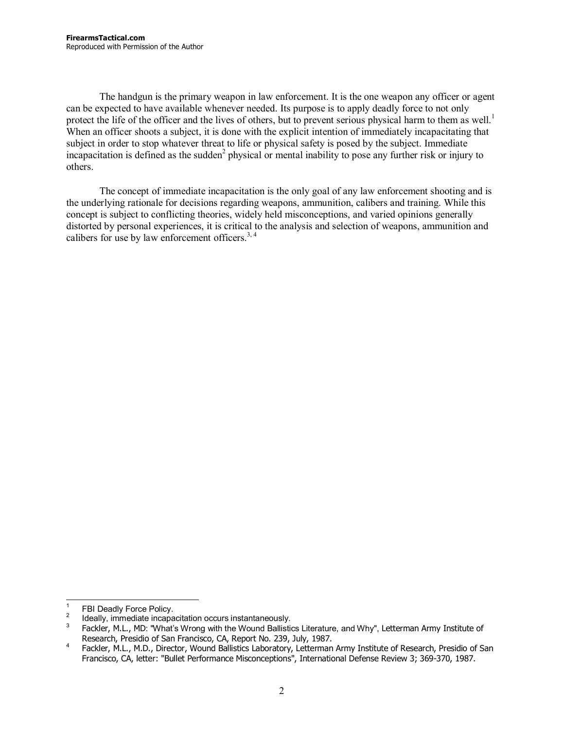The handgun is the primary weapon in law enforcement. It is the one weapon any officer or agent can be expected to have available whenever needed. Its purpose is to apply deadly force to not only protect the life of the officer and the lives of others, but to prevent serious physical harm to them as well.<sup>1</sup> When an officer shoots a subject, it is done with the explicit intention of immediately incapacitating that subject in order to stop whatever threat to life or physical safety is posed by the subject. Immediate incapacitation is defined as the sudden<sup>2</sup> physical or mental inability to pose any further risk or injury to others.

The concept of immediate incapacitation is the only goal of any law enforcement shooting and is the underlying rationale for decisions regarding weapons, ammunition, calibers and training. While this concept is subject to conflicting theories, widely held misconceptions, and varied opinions generally distorted by personal experiences, it is critical to the analysis and selection of weapons, ammunition and calibers for use by law enforcement officers. $3, 4$ 

 $\overline{a}$ 1 FBI Deadly Force Policy.

<sup>2</sup> Ideally, immediate incapacitation occurs instantaneously.

<sup>3</sup> Fackler, M.L., MD: "What's Wrong with the Wound Ballistics Literature, and Why", Letterman Army Institute of Research, Presidio of San Francisco, CA, Report No. 239, July, 1987.

Fackler, M.L., M.D., Director, Wound Ballistics Laboratory, Letterman Army Institute of Research, Presidio of San Francisco, CA, letter: "Bullet Performance Misconceptions", International Defense Review 3; 369-370, 1987.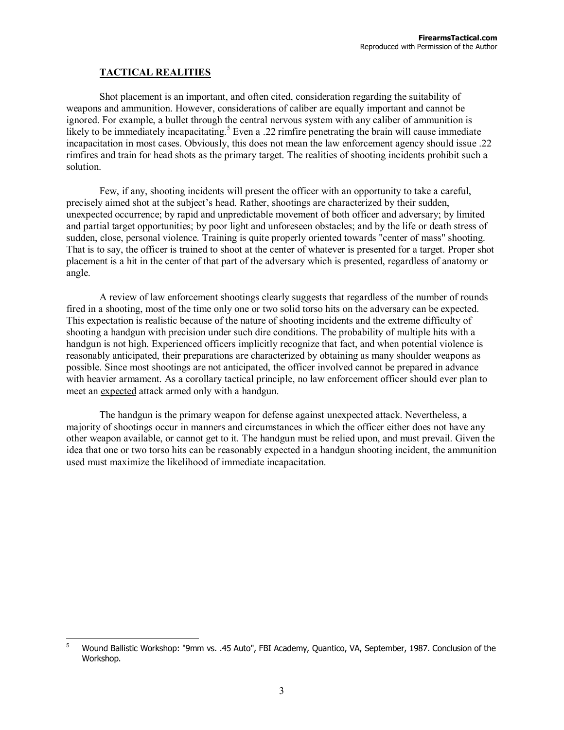#### **TACTICAL REALITIES**

Shot placement is an important, and often cited, consideration regarding the suitability of weapons and ammunition. However, considerations of caliber are equally important and cannot be ignored. For example, a bullet through the central nervous system with any caliber of ammunition is likely to be immediately incapacitating.<sup>5</sup> Even a .22 rimfire penetrating the brain will cause immediate incapacitation in most cases. Obviously, this does not mean the law enforcement agency should issue .22 rimfires and train for head shots as the primary target. The realities of shooting incidents prohibit such a solution.

Few, if any, shooting incidents will present the officer with an opportunity to take a careful, precisely aimed shot at the subject's head. Rather, shootings are characterized by their sudden, unexpected occurrence; by rapid and unpredictable movement of both officer and adversary; by limited and partial target opportunities; by poor light and unforeseen obstacles; and by the life or death stress of sudden, close, personal violence. Training is quite properly oriented towards "center of mass" shooting. That is to say, the officer is trained to shoot at the center of whatever is presented for a target. Proper shot placement is a hit in the center of that part of the adversary which is presented, regardless of anatomy or angle.

A review of law enforcement shootings clearly suggests that regardless of the number of rounds fired in a shooting, most of the time only one or two solid torso hits on the adversary can be expected. This expectation is realistic because of the nature of shooting incidents and the extreme difficulty of shooting a handgun with precision under such dire conditions. The probability of multiple hits with a handgun is not high. Experienced officers implicitly recognize that fact, and when potential violence is reasonably anticipated, their preparations are characterized by obtaining as many shoulder weapons as possible. Since most shootings are not anticipated, the officer involved cannot be prepared in advance with heavier armament. As a corollary tactical principle, no law enforcement officer should ever plan to meet an expected attack armed only with a handgun.

The handgun is the primary weapon for defense against unexpected attack. Nevertheless, a majority of shootings occur in manners and circumstances in which the officer either does not have any other weapon available, or cannot get to it. The handgun must be relied upon, and must prevail. Given the idea that one or two torso hits can be reasonably expected in a handgun shooting incident, the ammunition used must maximize the likelihood of immediate incapacitation.

<sup>-&</sup>lt;br>5 Wound Ballistic Workshop: "9mm vs. .45 Auto", FBI Academy, Quantico, VA, September, 1987. Conclusion of the Workshop.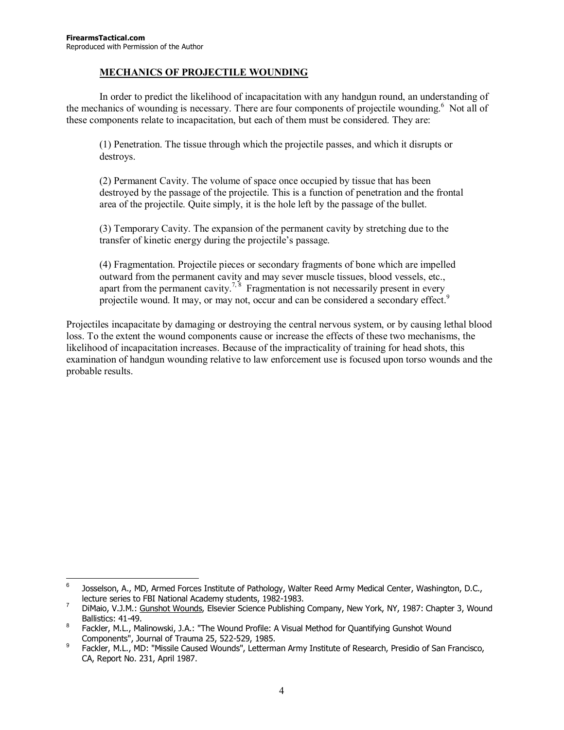#### **MECHANICS OF PROJECTILE WOUNDING**

In order to predict the likelihood of incapacitation with any handgun round, an understanding of the mechanics of wounding is necessary. There are four components of projectile wounding.<sup>6</sup> Not all of these components relate to incapacitation, but each of them must be considered. They are:

(1) Penetration. The tissue through which the projectile passes, and which it disrupts or destroys.

(2) Permanent Cavity. The volume of space once occupied by tissue that has been destroyed by the passage of the projectile. This is a function of penetration and the frontal area of the projectile. Quite simply, it is the hole left by the passage of the bullet.

(3) Temporary Cavity. The expansion of the permanent cavity by stretching due to the transfer of kinetic energy during the projectile's passage.

(4) Fragmentation. Projectile pieces or secondary fragments of bone which are impelled outward from the permanent cavity and may sever muscle tissues, blood vessels, etc., apart from the permanent cavity.<sup>7, 8</sup> Fragmentation is not necessarily present in every projectile wound. It may, or may not, occur and can be considered a secondary effect.<sup>9</sup>

Projectiles incapacitate by damaging or destroying the central nervous system, or by causing lethal blood loss. To the extent the wound components cause or increase the effects of these two mechanisms, the likelihood of incapacitation increases. Because of the impracticality of training for head shots, this examination of handgun wounding relative to law enforcement use is focused upon torso wounds and the probable results.

<sup>-&</sup>lt;br>6 Josselson, A., MD, Armed Forces Institute of Pathology, Walter Reed Army Medical Center, Washington, D.C., lecture series to FBI National Academy students, 1982-1983.

DiMaio, V.J.M.: Gunshot Wounds, Elsevier Science Publishing Company, New York, NY, 1987: Chapter 3, Wound Ballistics:  $41-49$ .

Fackler, M.L., Malinowski, J.A.: "The Wound Profile: A Visual Method for Quantifying Gunshot Wound Components", Journal of Trauma 25, 522-529, 1985.

Fackler, M.L., MD: "Missile Caused Wounds", Letterman Army Institute of Research, Presidio of San Francisco, CA, Report No. 231, April 1987.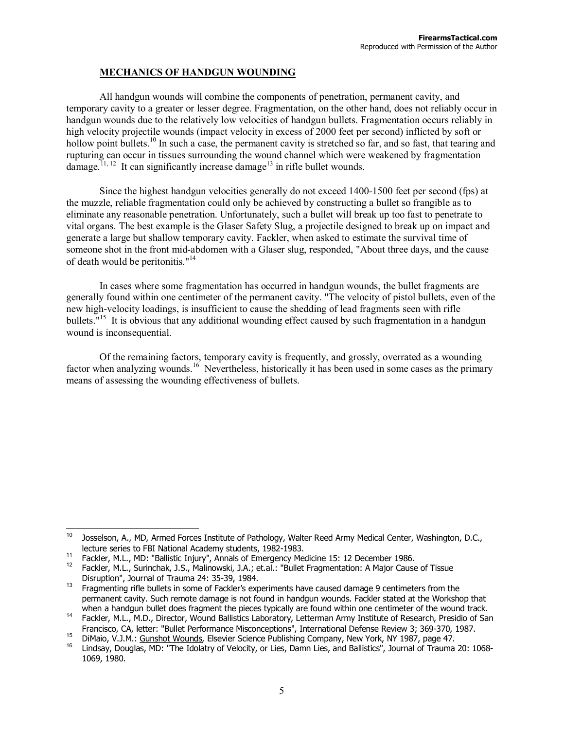#### **MECHANICS OF HANDGUN WOUNDING**

All handgun wounds will combine the components of penetration, permanent cavity, and temporary cavity to a greater or lesser degree. Fragmentation, on the other hand, does not reliably occur in handgun wounds due to the relatively low velocities of handgun bullets. Fragmentation occurs reliably in high velocity projectile wounds (impact velocity in excess of 2000 feet per second) inflicted by soft or hollow point bullets.<sup>10</sup> In such a case, the permanent cavity is stretched so far, and so fast, that tearing and rupturing can occur in tissues surrounding the wound channel which were weakened by fragmentation damage.<sup>11, 12</sup> It can significantly increase damage<sup>13</sup> in rifle bullet wounds.

Since the highest handgun velocities generally do not exceed 1400-1500 feet per second (fps) at the muzzle, reliable fragmentation could only be achieved by constructing a bullet so frangible as to eliminate any reasonable penetration. Unfortunately, such a bullet will break up too fast to penetrate to vital organs. The best example is the Glaser Safety Slug, a projectile designed to break up on impact and generate a large but shallow temporary cavity. Fackler, when asked to estimate the survival time of someone shot in the front mid-abdomen with a Glaser slug, responded, "About three days, and the cause of death would be peritonitis."<sup>14</sup>

In cases where some fragmentation has occurred in handgun wounds, the bullet fragments are generally found within one centimeter of the permanent cavity. "The velocity of pistol bullets, even of the new high-velocity loadings, is insufficient to cause the shedding of lead fragments seen with rifle bullets. $15 \text{ It}$  is obvious that any additional wounding effect caused by such fragmentation in a handgun wound is inconsequential.

Of the remaining factors, temporary cavity is frequently, and grossly, overrated as a wounding factor when analyzing wounds.<sup>16</sup> Nevertheless, historically it has been used in some cases as the primary means of assessing the wounding effectiveness of bullets.

<sup>&</sup>lt;sup>10</sup> Josselson, A., MD, Armed Forces Institute of Pathology, Walter Reed Army Medical Center, Washington, D.C., lecture series to FBI National Academy students, 1982-1983.

<sup>11</sup> Fackler, M.L., MD: "Ballistic Injury", Annals of Emergency Medicine 15: 12 December 1986.<br><sup>12</sup> Fackler, M.L., Surinchak, J.S., Malinowski, J.A.; et.al.: "Bullet Fragmentation: A Major Cause of Tissue

Disruption", Journal of Trauma 24: 35-39, 1984.<br><sup>13</sup> Fragmenting rifle bullets in some of Fackler's experiments have caused damage 9 centimeters from the permanent cavity. Such remote damage is not found in handgun wounds. Fackler stated at the Workshop that when a handgun bullet does fragment the pieces typically are found within one centimeter of the wound track.

when a handgun bullet does fragment the pieces typically are formal milimity institute of Research, Presidio of San<br>Francisco, CA, letter: "Bullet Performance Misconceptions", International Defense Review 3; 369-370, 1987.

<sup>&</sup>lt;sup>15</sup> DiMaio, V.J.M.: <u>Gunshot Wounds</u>, Elsevier Science Publishing Company, New York, NY 1987, page 47.<br><sup>16</sup> Lindsay, Douglas, MD: "The Idolatry of Velocity, or Lies, Damn Lies, and Ballistics", Journal of Trauma 20: 1068-1069, 1980.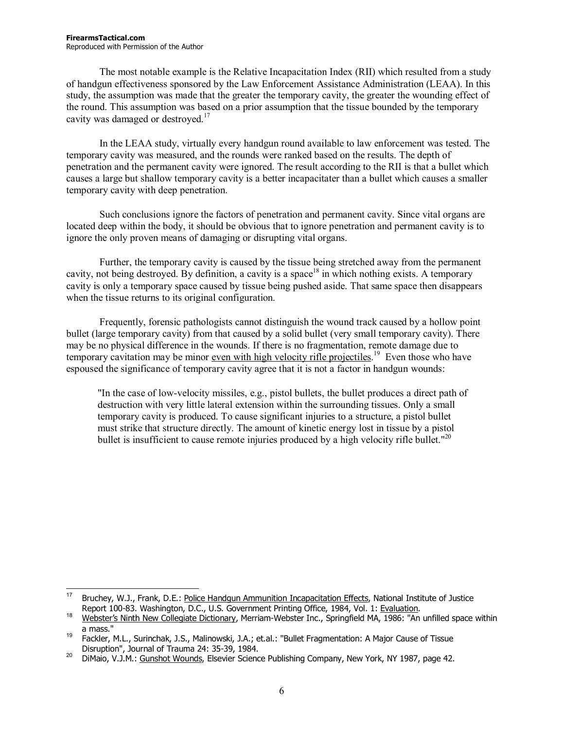The most notable example is the Relative Incapacitation Index (RII) which resulted from a study of handgun effectiveness sponsored by the Law Enforcement Assistance Administration (LEAA). In this study, the assumption was made that the greater the temporary cavity, the greater the wounding effect of the round. This assumption was based on a prior assumption that the tissue bounded by the temporary cavity was damaged or destroyed.<sup>17</sup>

In the LEAA study, virtually every handgun round available to law enforcement was tested. The temporary cavity was measured, and the rounds were ranked based on the results. The depth of penetration and the permanent cavity were ignored. The result according to the RII is that a bullet which causes a large but shallow temporary cavity is a better incapacitater than a bullet which causes a smaller temporary cavity with deep penetration.

Such conclusions ignore the factors of penetration and permanent cavity. Since vital organs are located deep within the body, it should be obvious that to ignore penetration and permanent cavity is to ignore the only proven means of damaging or disrupting vital organs.

Further, the temporary cavity is caused by the tissue being stretched away from the permanent cavity, not being destroyed. By definition, a cavity is a space<sup>18</sup> in which nothing exists. A temporary cavity is only a temporary space caused by tissue being pushed aside. That same space then disappears when the tissue returns to its original configuration.

Frequently, forensic pathologists cannot distinguish the wound track caused by a hollow point bullet (large temporary cavity) from that caused by a solid bullet (very small temporary cavity). There may be no physical difference in the wounds. If there is no fragmentation, remote damage due to temporary cavitation may be minor <u>even with high velocity rifle projectiles</u>.<sup>19</sup> Even those who have espoused the significance of temporary cavity agree that it is not a factor in handgun wounds:

"In the case of low-velocity missiles, e.g., pistol bullets, the bullet produces a direct path of destruction with very little lateral extension within the surrounding tissues. Only a small temporary cavity is produced. To cause significant injuries to a structure, a pistol bullet must strike that structure directly. The amount of kinetic energy lost in tissue by a pistol bullet is insufficient to cause remote injuries produced by a high velocity rifle bullet."<sup>20</sup>

 $17$ Bruchey, W.J., Frank, D.E.: Police Handgun Ammunition Incapacitation Effects, National Institute of Justice Report 100-83. Washington, D.C., U.S. Government Printing Office, 1984, Vol. 1: Evaluation.

Report 100-83. Washington, D.C., O.C. Coronamics Printing Office, 1984, Vol. 1: <u>Example 18</u><br><sup>18</sup> Webster's Ninth New Collegiate Dictionary, Merriam-Webster Inc., Springfield MA, 1986: "An unfilled space within

a mass."<br>19 Fackler, M.L., Surinchak, J.S., Malinowski, J.A.; et.al.: "Bullet Fragmentation: A Major Cause of Tissue<br>1984. Disruption", Journal of Trauma 24: 35-39, 1984.

<sup>20</sup> DiMaio, V.J.M.: Gunshot Wounds, Elsevier Science Publishing Company, New York, NY 1987, page 42.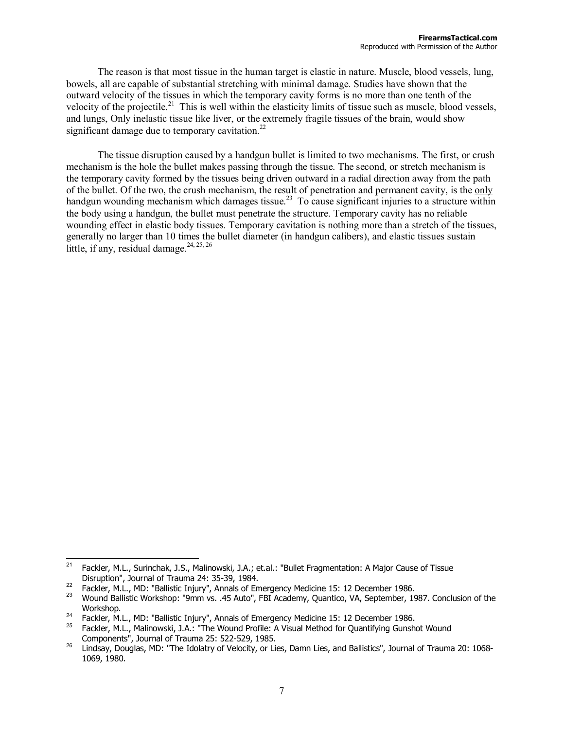The reason is that most tissue in the human target is elastic in nature. Muscle, blood vessels, lung, bowels, all are capable of substantial stretching with minimal damage. Studies have shown that the outward velocity of the tissues in which the temporary cavity forms is no more than one tenth of the velocity of the projectile.<sup>21</sup> This is well within the elasticity limits of tissue such as muscle, blood vessels, and lungs, Only inelastic tissue like liver, or the extremely fragile tissues of the brain, would show significant damage due to temporary cavitation.<sup>22</sup>

The tissue disruption caused by a handgun bullet is limited to two mechanisms. The first, or crush mechanism is the hole the bullet makes passing through the tissue. The second, or stretch mechanism is the temporary cavity formed by the tissues being driven outward in a radial direction away from the path of the bullet. Of the two, the crush mechanism, the result of penetration and permanent cavity, is the only handgun wounding mechanism which damages tissue.<sup>23</sup> To cause significant injuries to a structure within the body using a handgun, the bullet must penetrate the structure. Temporary cavity has no reliable wounding effect in elastic body tissues. Temporary cavitation is nothing more than a stretch of the tissues, generally no larger than 10 times the bullet diameter (in handgun calibers), and elastic tissues sustain little, if any, residual damage.  $24, 25, 26$ 

 $21$ 21 Fackler, M.L., Surinchak, J.S., Malinowski, J.A.; et.al.: "Bullet Fragmentation: A Major Cause of Tissue Disruption", Journal of Trauma 24: 35-39, 1984.<br><sup>22</sup> Fackler, M.L., MD: "Ballistic Injury", Annals of Emergency Medicine 15: 12 December 1986.<br><sup>23</sup> Wound Ballistic Workshop: "9mm vs. .45 Auto", FBI Academy, Quantico, VA, S

Workshop.<br><sup>24</sup>Fackler, M.L., MD: "Ballistic Injury", Annals of Emergency Medicine 15: 12 December 1986.<br><sup>25</sup> Fackler, M.L., Malinowski, J.A.: "The Wound Profile: A Visual Method for Quantifying Gunshot Wound Components", Journal of Trauma 25: 522-529, 1985.<br><sup>26</sup> Lindsay, Douglas, MD: "The Idolatry of Velocity, or Lies, Damn Lies, and Ballistics", Journal of Trauma 20: 1068-

<sup>1069, 1980.</sup>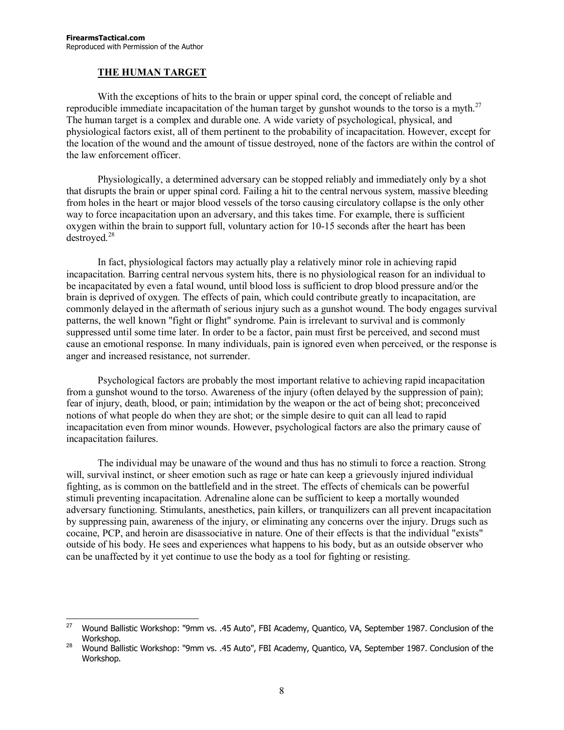#### **THE HUMAN TARGET**

With the exceptions of hits to the brain or upper spinal cord, the concept of reliable and reproducible immediate incapacitation of the human target by gunshot wounds to the torso is a myth. $^{27}$ The human target is a complex and durable one. A wide variety of psychological, physical, and physiological factors exist, all of them pertinent to the probability of incapacitation. However, except for the location of the wound and the amount of tissue destroyed, none of the factors are within the control of the law enforcement officer.

Physiologically, a determined adversary can be stopped reliably and immediately only by a shot that disrupts the brain or upper spinal cord. Failing a hit to the central nervous system, massive bleeding from holes in the heart or major blood vessels of the torso causing circulatory collapse is the only other way to force incapacitation upon an adversary, and this takes time. For example, there is sufficient oxygen within the brain to support full, voluntary action for 10-15 seconds after the heart has been destroyed.<sup>28</sup>

In fact, physiological factors may actually play a relatively minor role in achieving rapid incapacitation. Barring central nervous system hits, there is no physiological reason for an individual to be incapacitated by even a fatal wound, until blood loss is sufficient to drop blood pressure and/or the brain is deprived of oxygen. The effects of pain, which could contribute greatly to incapacitation, are commonly delayed in the aftermath of serious injury such as a gunshot wound. The body engages survival patterns, the well known "fight or flight" syndrome. Pain is irrelevant to survival and is commonly suppressed until some time later. In order to be a factor, pain must first be perceived, and second must cause an emotional response. In many individuals, pain is ignored even when perceived, or the response is anger and increased resistance, not surrender.

Psychological factors are probably the most important relative to achieving rapid incapacitation from a gunshot wound to the torso. Awareness of the injury (often delayed by the suppression of pain); fear of injury, death, blood, or pain; intimidation by the weapon or the act of being shot; preconceived notions of what people do when they are shot; or the simple desire to quit can all lead to rapid incapacitation even from minor wounds. However, psychological factors are also the primary cause of incapacitation failures.

The individual may be unaware of the wound and thus has no stimuli to force a reaction. Strong will, survival instinct, or sheer emotion such as rage or hate can keep a grievously injured individual fighting, as is common on the battlefield and in the street. The effects of chemicals can be powerful stimuli preventing incapacitation. Adrenaline alone can be sufficient to keep a mortally wounded adversary functioning. Stimulants, anesthetics, pain killers, or tranquilizers can all prevent incapacitation by suppressing pain, awareness of the injury, or eliminating any concerns over the injury. Drugs such as cocaine, PCP, and heroin are disassociative in nature. One of their effects is that the individual "exists" outside of his body. He sees and experiences what happens to his body, but as an outside observer who can be unaffected by it yet continue to use the body as a tool for fighting or resisting.

<sup>27</sup> 27 Wound Ballistic Workshop: "9mm vs. .45 Auto", FBI Academy, Quantico, VA, September 1987. Conclusion of the Workshop.<br><sup>28</sup> Wound Ballistic Workshop: "9mm vs. .45 Auto", FBI Academy, Quantico, VA, September 1987. Conclusion of the

Workshop.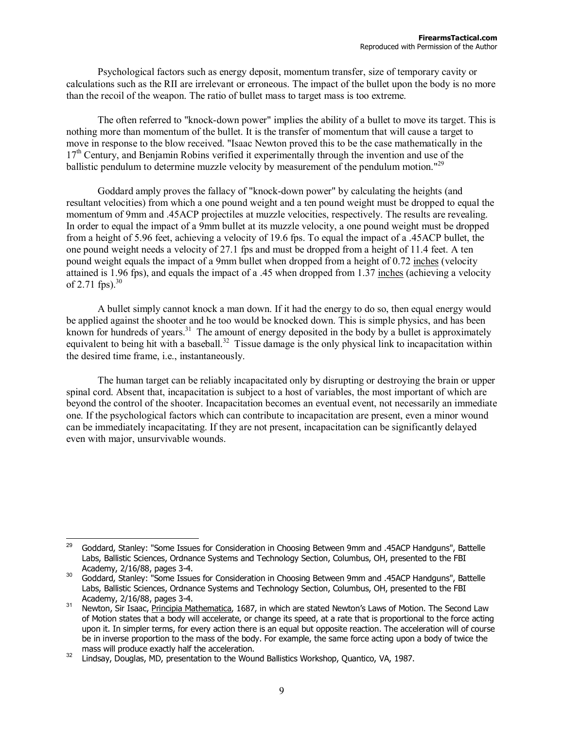Psychological factors such as energy deposit, momentum transfer, size of temporary cavity or calculations such as the RII are irrelevant or erroneous. The impact of the bullet upon the body is no more than the recoil of the weapon. The ratio of bullet mass to target mass is too extreme.

The often referred to "knock-down power" implies the ability of a bullet to move its target. This is nothing more than momentum of the bullet. It is the transfer of momentum that will cause a target to move in response to the blow received. "Isaac Newton proved this to be the case mathematically in the 17th Century, and Benjamin Robins verified it experimentally through the invention and use of the ballistic pendulum to determine muzzle velocity by measurement of the pendulum motion.<sup> $129$ </sup>

Goddard amply proves the fallacy of "knock-down power" by calculating the heights (and resultant velocities) from which a one pound weight and a ten pound weight must be dropped to equal the momentum of 9mm and .45ACP projectiles at muzzle velocities, respectively. The results are revealing. In order to equal the impact of a 9mm bullet at its muzzle velocity, a one pound weight must be dropped from a height of 5.96 feet, achieving a velocity of 19.6 fps. To equal the impact of a .45ACP bullet, the one pound weight needs a velocity of  $27.1$  fps and must be dropped from a height of 11.4 feet. A ten pound weight equals the impact of a 9mm bullet when dropped from a height of 0.72 inches (velocity attained is 1.96 fps), and equals the impact of a .45 when dropped from 1.37 inches (achieving a velocity of 2.71 fps). $30$ 

A bullet simply cannot knock a man down. If it had the energy to do so, then equal energy would be applied against the shooter and he too would be knocked down. This is simple physics, and has been known for hundreds of years.<sup>31</sup> The amount of energy deposited in the body by a bullet is approximately equivalent to being hit with a baseball.<sup>32</sup> Tissue damage is the only physical link to incapacitation within the desired time frame, i.e., instantaneously.

The human target can be reliably incapacitated only by disrupting or destroying the brain or upper spinal cord. Absent that, incapacitation is subject to a host of variables, the most important of which are beyond the control of the shooter. Incapacitation becomes an eventual event, not necessarily an immediate one. If the psychological factors which can contribute to incapacitation are present, even a minor wound can be immediately incapacitating. If they are not present, incapacitation can be significantly delayed even with major, unsurvivable wounds.

<sup>29</sup> 29 Goddard, Stanley: "Some Issues for Consideration in Choosing Between 9mm and .45ACP Handguns", Battelle Labs, Ballistic Sciences, Ordnance Systems and Technology Section, Columbus, OH, presented to the FBI

Academy, 2/16/88, pages 3-4.<br>30 Goddard, Stanley: "Some Issues for Consideration in Choosing Between 9mm and .45ACP Handguns", Battelle Labs, Ballistic Sciences, Ordnance Systems and Technology Section, Columbus, OH, presented to the FBI

Academy, 2/16/88, pages 3-4.<br><sup>31</sup> Newton, Sir Isaac, Principia Mathematica, 1687, in which are stated Newton's Laws of Motion. The Second Law of Motion states that a body will accelerate, or change its speed, at a rate that is proportional to the force acting upon it. In simpler terms, for every action there is an equal but opposite reaction. The acceleration will of course be in inverse proportion to the mass of the body. For example, the same force acting upon a body of twice the

mass will produce exactly half the acceleration.<br><sup>32</sup> Lindsay, Douglas, MD, presentation to the Wound Ballistics Workshop, Quantico, VA, 1987.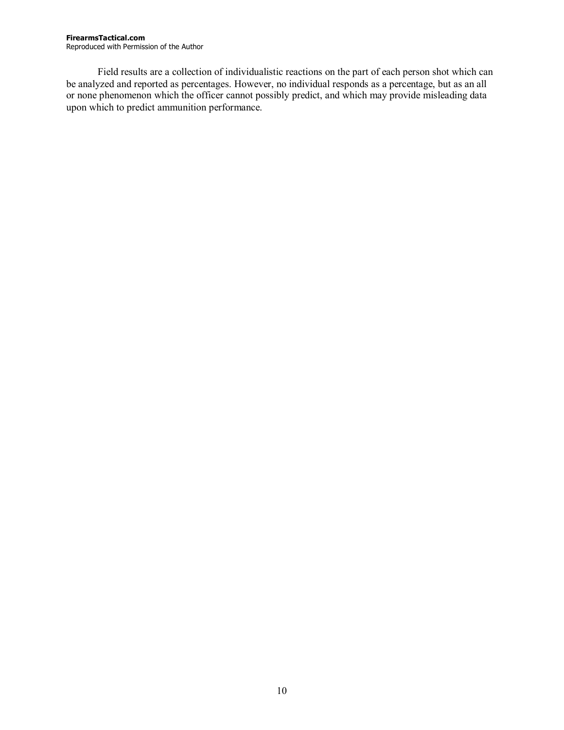Field results are a collection of individualistic reactions on the part of each person shot which can be analyzed and reported as percentages. However, no individual responds as a percentage, but as an all or none phenomenon which the officer cannot possibly predict, and which may provide misleading data upon which to predict ammunition performance.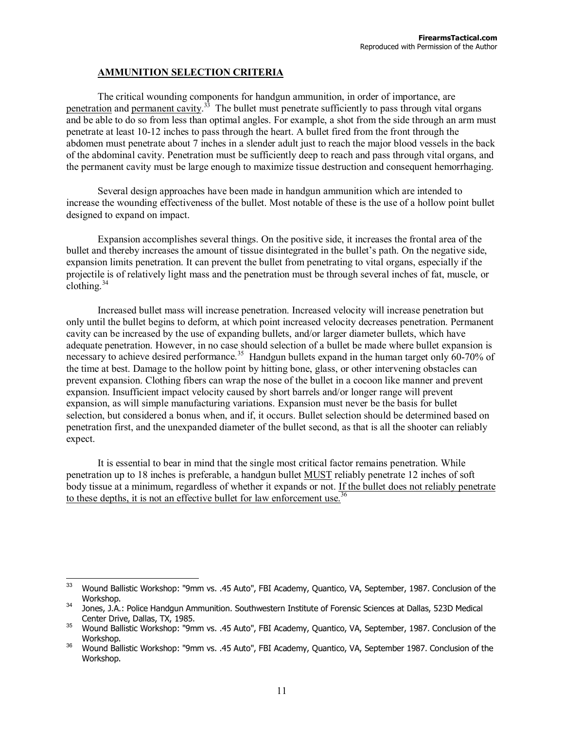#### **AMMUNITION SELECTION CRITERIA**

The critical wounding components for handgun ammunition, in order of importance, are penetration and permanent cavity.<sup>33</sup> The bullet must penetrate sufficiently to pass through vital organs and be able to do so from less than optimal angles. For example, a shot from the side through an arm must penetrate at least 10-12 inches to pass through the heart. A bullet fired from the front through the abdomen must penetrate about 7 inches in a slender adult just to reach the major blood vessels in the back of the abdominal cavity. Penetration must be sufficiently deep to reach and pass through vital organs, and the permanent cavity must be large enough to maximize tissue destruction and consequent hemorrhaging.

Several design approaches have been made in handgun ammunition which are intended to increase the wounding effectiveness of the bullet. Most notable of these is the use of a hollow point bullet designed to expand on impact.

Expansion accomplishes several things. On the positive side, it increases the frontal area of the bullet and thereby increases the amount of tissue disintegrated in the bullet's path. On the negative side, expansion limits penetration. It can prevent the bullet from penetrating to vital organs, especially if the projectile is of relatively light mass and the penetration must be through several inches of fat, muscle, or clothing. $34$ 

Increased bullet mass will increase penetration. Increased velocity will increase penetration but only until the bullet begins to deform, at which point increased velocity decreases penetration. Permanent cavity can be increased by the use of expanding bullets, and/or larger diameter bullets, which have adequate penetration. However, in no case should selection of a bullet be made where bullet expansion is necessary to achieve desired performance.<sup>35</sup> Handgun bullets expand in the human target only 60-70% of the time at best. Damage to the hollow point by hitting bone, glass, or other intervening obstacles can prevent expansion. Clothing fibers can wrap the nose of the bullet in a cocoon like manner and prevent expansion. Insufficient impact velocity caused by short barrels and/or longer range will prevent expansion, as will simple manufacturing variations. Expansion must never be the basis for bullet selection, but considered a bonus when, and if, it occurs. Bullet selection should be determined based on penetration first, and the unexpanded diameter of the bullet second, as that is all the shooter can reliably expect.

It is essential to bear in mind that the single most critical factor remains penetration. While penetration up to 18 inches is preferable, a handgun bullet MUST reliably penetrate 12 inches of soft body tissue at a minimum, regardless of whether it expands or not. If the bullet does not reliably penetrate to these depths, it is not an effective bullet for law enforcement use.<sup>36</sup>

<sup>33</sup> 33 Wound Ballistic Workshop: "9mm vs. .45 Auto", FBI Academy, Quantico, VA, September, 1987. Conclusion of the Workshop.<br>34 Jones, J.A.: Police Handgun Ammunition. Southwestern Institute of Forensic Sciences at Dallas, 523D Medical

Center Drive, Dallas, TX, 1985.<br><sup>35</sup> Wound Ballistic Workshop: "9mm vs. .45 Auto", FBI Academy, Quantico, VA, September, 1987. Conclusion of the

Workshop.<br><sup>36</sup> Wound Ballistic Workshop: "9mm vs. .45 Auto", FBI Academy, Quantico, VA, September 1987. Conclusion of the

Workshop.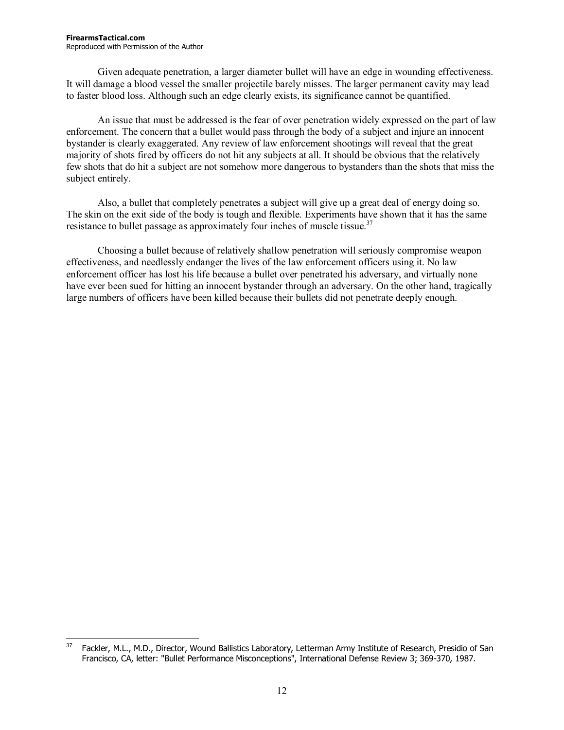Given adequate penetration, a larger diameter bullet will have an edge in wounding effectiveness. It will damage a blood vessel the smaller projectile barely misses. The larger permanent cavity may lead to faster blood loss. Although such an edge clearly exists, its significance cannot be quantified.

An issue that must be addressed is the fear of over penetration widely expressed on the part of law enforcement. The concern that a bullet would pass through the body of a subject and injure an innocent bystander is clearly exaggerated. Any review of law enforcement shootings will reveal that the great majority of shots fired by officers do not hit any subjects at all. It should be obvious that the relatively few shots that do hit a subject are not somehow more dangerous to bystanders than the shots that miss the subject entirely.

Also, a bullet that completely penetrates a subject will give up a great deal of energy doing so. The skin on the exit side of the body is tough and flexible. Experiments have shown that it has the same resistance to bullet passage as approximately four inches of muscle tissue.<sup>37</sup>

Choosing a bullet because of relatively shallow penetration will seriously compromise weapon effectiveness, and needlessly endanger the lives of the law enforcement officers using it. No law enforcement officer has lost his life because a bullet over penetrated his adversary, and virtually none have ever been sued for hitting an innocent bystander through an adversary. On the other hand, tragically large numbers of officers have been killed because their bullets did not penetrate deeply enough.

<sup>37</sup> Fackler, M.L., M.D., Director, Wound Ballistics Laboratory, Letterman Army Institute of Research, Presidio of San Francisco, CA, letter: "Bullet Performance Misconceptions", International Defense Review 3; 369-370, 1987.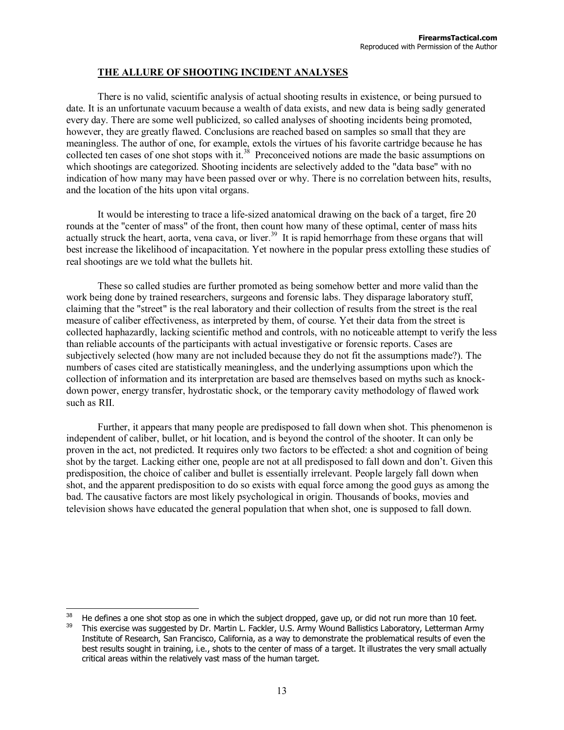#### **THE ALLURE OF SHOOTING INCIDENT ANALYSES**

There is no valid, scientific analysis of actual shooting results in existence, or being pursued to date. It is an unfortunate vacuum because a wealth of data exists, and new data is being sadly generated every day. There are some well publicized, so called analyses of shooting incidents being promoted, however, they are greatly flawed. Conclusions are reached based on samples so small that they are meaningless. The author of one, for example, extols the virtues of his favorite cartridge because he has collected ten cases of one shot stops with it.<sup>38</sup> Preconceived notions are made the basic assumptions on which shootings are categorized. Shooting incidents are selectively added to the "data base" with no indication of how many may have been passed over or why. There is no correlation between hits, results, and the location of the hits upon vital organs.

It would be interesting to trace a life-sized anatomical drawing on the back of a target, fire 20 rounds at the "center of mass" of the front, then count how many of these optimal, center of mass hits actually struck the heart, aorta, vena cava, or liver.<sup>39</sup> It is rapid hemorrhage from these organs that will best increase the likelihood of incapacitation. Yet nowhere in the popular press extolling these studies of real shootings are we told what the bullets hit.

These so called studies are further promoted as being somehow better and more valid than the work being done by trained researchers, surgeons and forensic labs. They disparage laboratory stuff, claiming that the "street" is the real laboratory and their collection of results from the street is the real measure of caliber effectiveness, as interpreted by them, of course. Yet their data from the street is collected haphazardly, lacking scientific method and controls, with no noticeable attempt to verify the less than reliable accounts of the participants with actual investigative or forensic reports. Cases are subjectively selected (how many are not included because they do not fit the assumptions made?). The numbers of cases cited are statistically meaningless, and the underlying assumptions upon which the collection of information and its interpretation are based are themselves based on myths such as knockdown power, energy transfer, hydrostatic shock, or the temporary cavity methodology of flawed work such as RII.

Further, it appears that many people are predisposed to fall down when shot. This phenomenon is independent of caliber, bullet, or hit location, and is beyond the control of the shooter. It can only be proven in the act, not predicted. It requires only two factors to be effected: a shot and cognition of being shot by the target. Lacking either one, people are not at all predisposed to fall down and don't. Given this predisposition, the choice of caliber and bullet is essentially irrelevant. People largely fall down when shot, and the apparent predisposition to do so exists with equal force among the good guys as among the bad. The causative factors are most likely psychological in origin. Thousands of books, movies and television shows have educated the general population that when shot, one is supposed to fall down.

<sup>38</sup> He defines a one shot stop as one in which the subject dropped, gave up, or did not run more than 10 feet.<br>This exercise was suggested by Dr. Martin L. Fackler, U.S. Army Wound Ballistics Laboratory, Letterman Army Institute of Research, San Francisco, California, as a way to demonstrate the problematical results of even the

best results sought in training, i.e., shots to the center of mass of a target. It illustrates the very small actually critical areas within the relatively vast mass of the human target.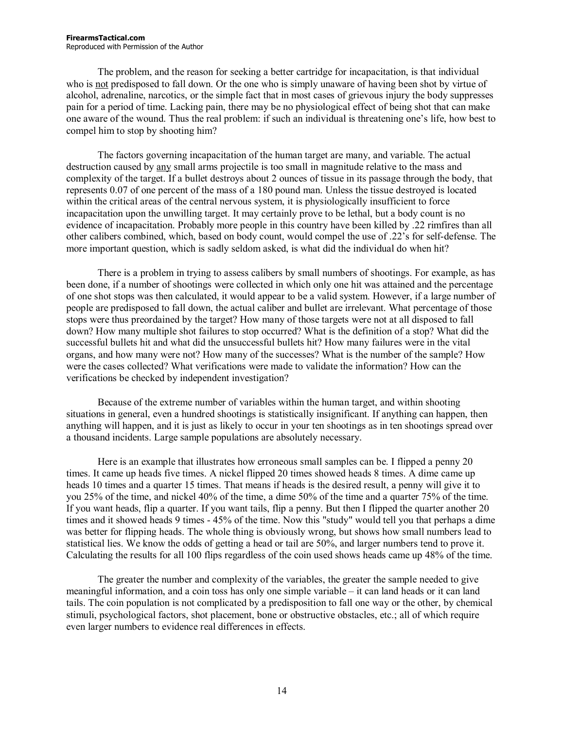#### **FirearmsTactical.com**  Reproduced with Permission of the Author

The problem, and the reason for seeking a better cartridge for incapacitation, is that individual who is not predisposed to fall down. Or the one who is simply unaware of having been shot by virtue of alcohol, adrenaline, narcotics, or the simple fact that in most cases of grievous injury the body suppresses pain for a period of time. Lacking pain, there may be no physiological effect of being shot that can make one aware of the wound. Thus the real problem: if such an individual is threatening one's life, how best to compel him to stop by shooting him?

The factors governing incapacitation of the human target are many, and variable. The actual destruction caused by any small arms projectile is too small in magnitude relative to the mass and complexity of the target. If a bullet destroys about 2 ounces of tissue in its passage through the body, that represents 0.07 of one percent of the mass of a 180 pound man. Unless the tissue destroyed is located within the critical areas of the central nervous system, it is physiologically insufficient to force incapacitation upon the unwilling target. It may certainly prove to be lethal, but a body count is no evidence of incapacitation. Probably more people in this country have been killed by .22 rimfires than all other calibers combined, which, based on body count, would compel the use of .22's for self-defense. The more important question, which is sadly seldom asked, is what did the individual do when hit?

There is a problem in trying to assess calibers by small numbers of shootings. For example, as has been done, if a number of shootings were collected in which only one hit was attained and the percentage of one shot stops was then calculated, it would appear to be a valid system. However, if a large number of people are predisposed to fall down, the actual caliber and bullet are irrelevant. What percentage of those stops were thus preordained by the target? How many of those targets were not at all disposed to fall down? How many multiple shot failures to stop occurred? What is the definition of a stop? What did the successful bullets hit and what did the unsuccessful bullets hit? How many failures were in the vital organs, and how many were not? How many of the successes? What is the number of the sample? How were the cases collected? What verifications were made to validate the information? How can the verifications be checked by independent investigation?

Because of the extreme number of variables within the human target, and within shooting situations in general, even a hundred shootings is statistically insignificant. If anything can happen, then anything will happen, and it is just as likely to occur in your ten shootings as in ten shootings spread over a thousand incidents. Large sample populations are absolutely necessary.

Here is an example that illustrates how erroneous small samples can be. I flipped a penny 20 times. It came up heads five times. A nickel flipped 20 times showed heads 8 times. A dime came up heads 10 times and a quarter 15 times. That means if heads is the desired result, a penny will give it to you 25% of the time, and nickel 40% of the time, a dime 50% of the time and a quarter 75% of the time. If you want heads, flip a quarter. If you want tails, flip a penny. But then I flipped the quarter another 20 times and it showed heads 9 times - 45% of the time. Now this "study" would tell you that perhaps a dime was better for flipping heads. The whole thing is obviously wrong, but shows how small numbers lead to statistical lies. We know the odds of getting a head or tail are 50%, and larger numbers tend to prove it. Calculating the results for all 100 flips regardless of the coin used shows heads came up 48% of the time.

The greater the number and complexity of the variables, the greater the sample needed to give meaningful information, and a coin toss has only one simple variable – it can land heads or it can land tails. The coin population is not complicated by a predisposition to fall one way or the other, by chemical stimuli, psychological factors, shot placement, bone or obstructive obstacles, etc.; all of which require even larger numbers to evidence real differences in effects.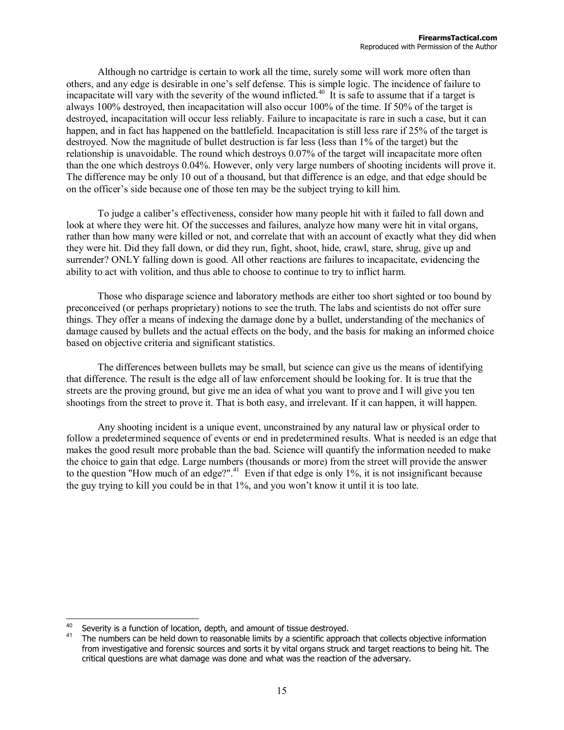Although no cartridge is certain to work all the time, surely some will work more often than others, and any edge is desirable in one's self defense. This is simple logic. The incidence of failure to incapacitate will vary with the severity of the wound inflicted.<sup>40</sup> It is safe to assume that if a target is always 100% destroyed, then incapacitation will also occur 100% of the time. If 50% of the target is destroyed, incapacitation will occur less reliably. Failure to incapacitate is rare in such a case, but it can happen, and in fact has happened on the battlefield. Incapacitation is still less rare if 25% of the target is destroyed. Now the magnitude of bullet destruction is far less (less than 1% of the target) but the relationship is unavoidable. The round which destroys 0.07% of the target will incapacitate more often than the one which destroys 0.04%. However, only very large numbers of shooting incidents will prove it. The difference may be only 10 out of a thousand, but that difference is an edge, and that edge should be on the officer's side because one of those ten may be the subject trying to kill him.

To judge a caliber's effectiveness, consider how many people hit with it failed to fall down and look at where they were hit. Of the successes and failures, analyze how many were hit in vital organs, rather than how many were killed or not, and correlate that with an account of exactly what they did when they were hit. Did they fall down, or did they run, fight, shoot, hide, crawl, stare, shrug, give up and surrender? ONLY falling down is good. All other reactions are failures to incapacitate, evidencing the ability to act with volition, and thus able to choose to continue to try to inflict harm.

Those who disparage science and laboratory methods are either too short sighted or too bound by preconceived (or perhaps proprietary) notions to see the truth. The labs and scientists do not offer sure things. They offer a means of indexing the damage done by a bullet, understanding of the mechanics of damage caused by bullets and the actual effects on the body, and the basis for making an informed choice based on objective criteria and significant statistics.

The differences between bullets may be small, but science can give us the means of identifying that difference. The result is the edge all of law enforcement should be looking for. It is true that the streets are the proving ground, but give me an idea of what you want to prove and I will give you ten shootings from the street to prove it. That is both easy, and irrelevant. If it can happen, it will happen.

Any shooting incident is a unique event, unconstrained by any natural law or physical order to follow a predetermined sequence of events or end in predetermined results. What is needed is an edge that makes the good result more probable than the bad. Science will quantify the information needed to make the choice to gain that edge. Large numbers (thousands or more) from the street will provide the answer to the question "How much of an edge?".<sup>41</sup> Even if that edge is only 1%, it is not insignificant because the guy trying to kill you could be in that 1%, and you won't know it until it is too late.

Severity is a function of location, depth, and amount of tissue destroyed.<br>The numbers can be held down to reasonable limits by a scientific approach that collects objective information from investigative and forensic sources and sorts it by vital organs struck and target reactions to being hit. The critical questions are what damage was done and what was the reaction of the adversary.